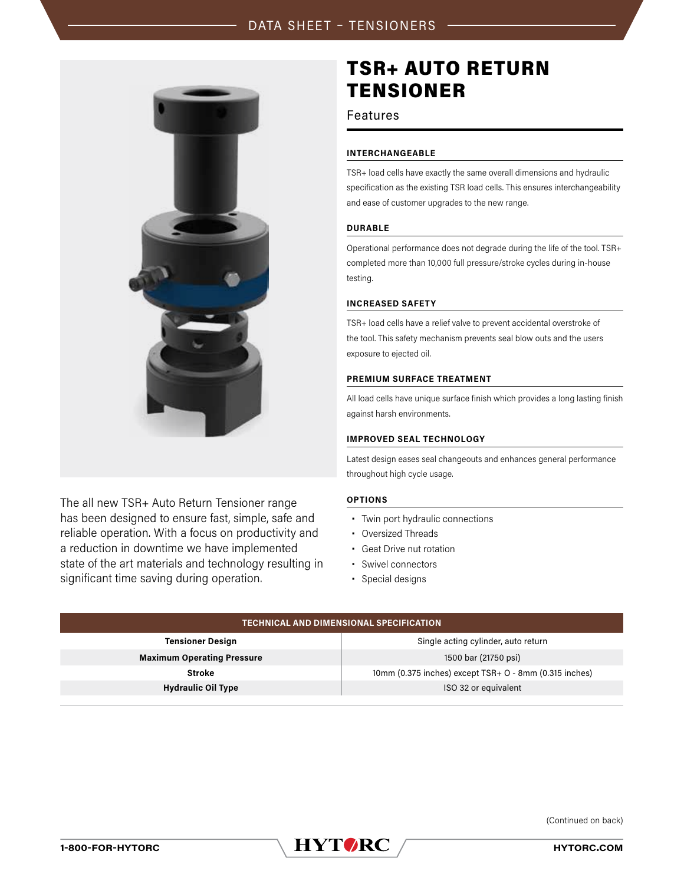

The all new TSR+ Auto Return Tensioner range has been designed to ensure fast, simple, safe and reliable operation. With a focus on productivity and a reduction in downtime we have implemented state of the art materials and technology resulting in significant time saving during operation.

# TSR+ AUTO RETURN TENSIONER

# Features

# **INTERCHANGEABLE**

TSR+ load cells have exactly the same overall dimensions and hydraulic specification as the existing TSR load cells. This ensures interchangeability and ease of customer upgrades to the new range.

#### **DURABLE**

Operational performance does not degrade during the life of the tool. TSR+ completed more than 10,000 full pressure/stroke cycles during in-house testing.

#### **INCREASED SAFETY**

TSR+ load cells have a relief valve to prevent accidental overstroke of the tool. This safety mechanism prevents seal blow outs and the users exposure to ejected oil.

#### **PREMIUM SURFACE TREATMENT**

All load cells have unique surface finish which provides a long lasting finish against harsh environments.

## **IMPROVED SEAL TECHNOLOGY**

Latest design eases seal changeouts and enhances general performance throughout high cycle usage.

# **OPTIONS**

- **•** Twin port hydraulic connections
- **•** Oversized Threads
- **•** Geat Drive nut rotation
- **•** Swivel connectors
- **•** Special designs

| <b>TECHNICAL AND DIMENSIONAL SPECIFICATION</b> |                                                        |  |  |  |  |  |  |  |
|------------------------------------------------|--------------------------------------------------------|--|--|--|--|--|--|--|
| <b>Tensioner Design</b>                        | Single acting cylinder, auto return                    |  |  |  |  |  |  |  |
| <b>Maximum Operating Pressure</b>              | 1500 bar (21750 psi)                                   |  |  |  |  |  |  |  |
| <b>Stroke</b>                                  | 10mm (0.375 inches) except TSR+ O - 8mm (0.315 inches) |  |  |  |  |  |  |  |
| <b>Hydraulic Oil Type</b>                      | ISO 32 or equivalent                                   |  |  |  |  |  |  |  |
|                                                |                                                        |  |  |  |  |  |  |  |

(Continued on back)